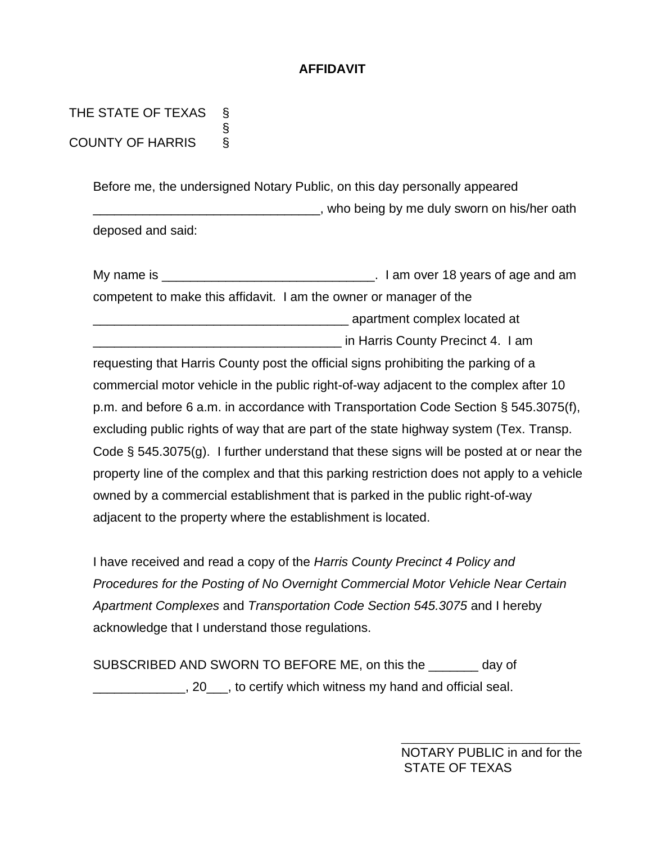# **AFFIDAVIT**

THE STATE OF TEXAS § COUNTY OF HARRIS §

> Before me, the undersigned Notary Public, on this day personally appeared \_\_\_\_\_\_\_\_\_\_\_\_\_\_\_\_\_\_\_\_\_\_\_\_\_\_\_\_\_\_\_\_, who being by me duly sworn on his/her oath deposed and said:

| My name is | . I am over 18 years of age and am                                 |
|------------|--------------------------------------------------------------------|
|            | competent to make this affidavit. I am the owner or manager of the |
|            | apartment complex located at                                       |
|            | in Harris County Precinct 4. I am                                  |

requesting that Harris County post the official signs prohibiting the parking of a commercial motor vehicle in the public right-of-way adjacent to the complex after 10 p.m. and before 6 a.m. in accordance with Transportation Code Section § 545.3075(f), excluding public rights of way that are part of the state highway system (Tex. Transp. Code § 545.3075(g). I further understand that these signs will be posted at or near the property line of the complex and that this parking restriction does not apply to a vehicle owned by a commercial establishment that is parked in the public right-of-way adjacent to the property where the establishment is located.

I have received and read a copy of the *Harris County Precinct 4 Policy and Procedures for the Posting of No Overnight Commercial Motor Vehicle Near Certain Apartment Complexes* and *Transportation Code Section 545.3075* and I hereby acknowledge that I understand those regulations.

SUBSCRIBED AND SWORN TO BEFORE ME, on this the \_\_\_\_\_\_\_ day of **1. 20** Repretige Marting which witness my hand and official seal.

> NOTARY PUBLIC in and for the STATE OF TEXAS

 $\frac{1}{\sqrt{2}}$  ,  $\frac{1}{\sqrt{2}}$  ,  $\frac{1}{\sqrt{2}}$  ,  $\frac{1}{\sqrt{2}}$  ,  $\frac{1}{\sqrt{2}}$  ,  $\frac{1}{\sqrt{2}}$  ,  $\frac{1}{\sqrt{2}}$  ,  $\frac{1}{\sqrt{2}}$  ,  $\frac{1}{\sqrt{2}}$  ,  $\frac{1}{\sqrt{2}}$  ,  $\frac{1}{\sqrt{2}}$  ,  $\frac{1}{\sqrt{2}}$  ,  $\frac{1}{\sqrt{2}}$  ,  $\frac{1}{\sqrt{2}}$  ,  $\frac{1}{\sqrt{2}}$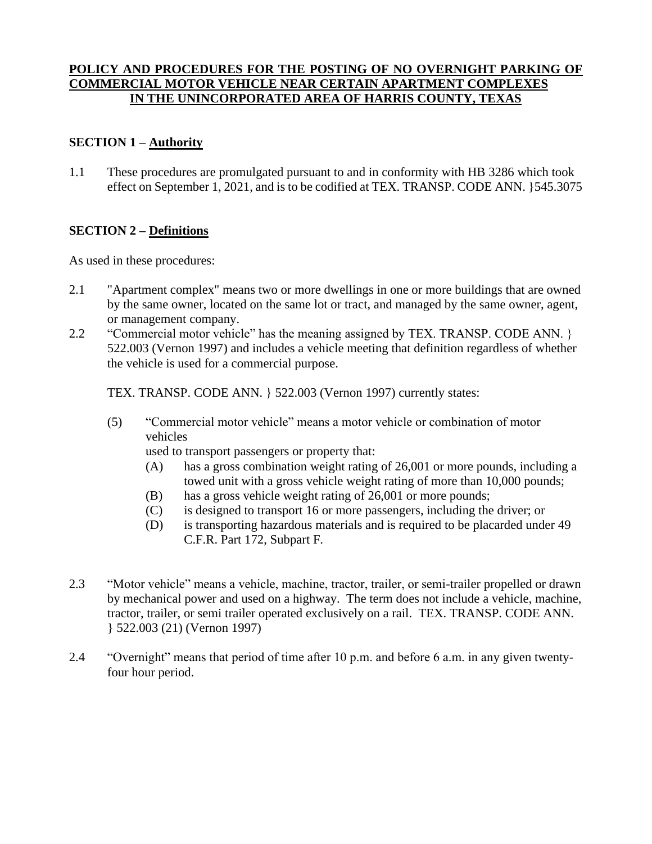### **POLICY AND PROCEDURES FOR THE POSTING OF NO OVERNIGHT PARKING OF COMMERCIAL MOTOR VEHICLE NEAR CERTAIN APARTMENT COMPLEXES IN THE UNINCORPORATED AREA OF HARRIS COUNTY, TEXAS**

### **SECTION 1 – Authority**

1.1 These procedures are promulgated pursuant to and in conformity with HB 3286 which took effect on September 1, 2021, and is to be codified at TEX. TRANSP. CODE ANN. }545.3075

### **SECTION 2 – Definitions**

As used in these procedures:

- 2.1 "Apartment complex" means two or more dwellings in one or more buildings that are owned by the same owner, located on the same lot or tract, and managed by the same owner, agent, or management company.
- 2.2 "Commercial motor vehicle" has the meaning assigned by TEX. TRANSP. CODE ANN. } 522.003 (Vernon 1997) and includes a vehicle meeting that definition regardless of whether the vehicle is used for a commercial purpose.

TEX. TRANSP. CODE ANN. } 522.003 (Vernon 1997) currently states:

(5) "Commercial motor vehicle" means a motor vehicle or combination of motor vehicles

used to transport passengers or property that:

- (A) has a gross combination weight rating of 26,001 or more pounds, including a towed unit with a gross vehicle weight rating of more than 10,000 pounds;
- (B) has a gross vehicle weight rating of 26,001 or more pounds;
- (C) is designed to transport 16 or more passengers, including the driver; or
- (D) is transporting hazardous materials and is required to be placarded under 49 C.F.R. Part 172, Subpart F.
- 2.3 "Motor vehicle" means a vehicle, machine, tractor, trailer, or semi-trailer propelled or drawn by mechanical power and used on a highway. The term does not include a vehicle, machine, tractor, trailer, or semi trailer operated exclusively on a rail. TEX. TRANSP. CODE ANN. } 522.003 (21) (Vernon 1997)
- 2.4 "Overnight" means that period of time after 10 p.m. and before 6 a.m. in any given twentyfour hour period.